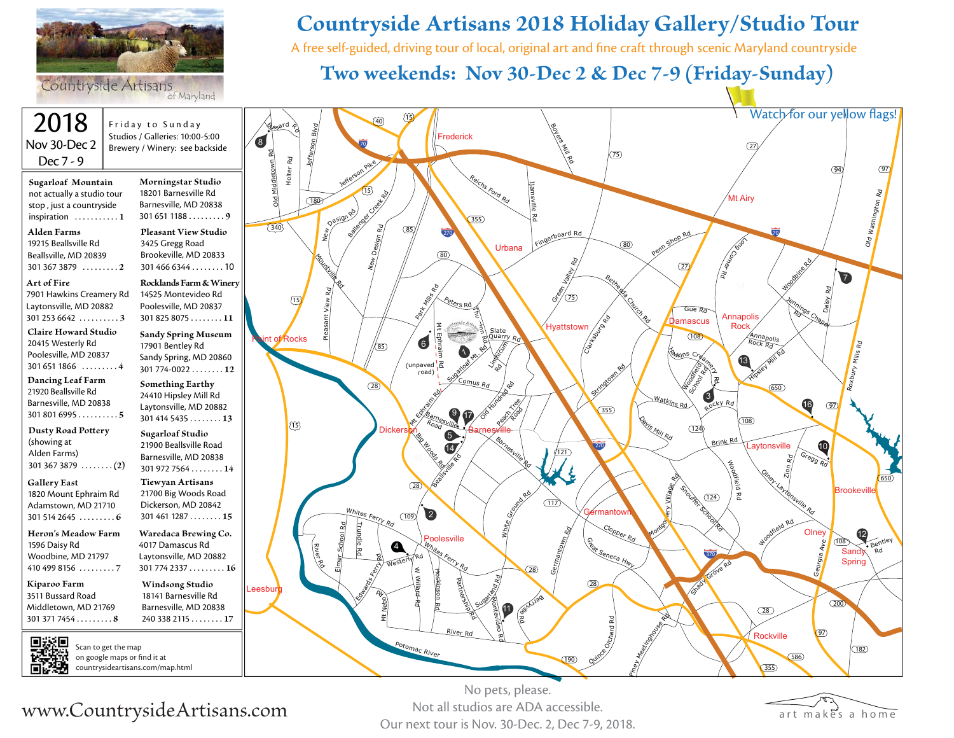

Countryside Artisans

2018 Friday to Sunday Jefferson Blvd <u>g<sub>esar</sub>d</u> p Studios / Galleries: 10:00-5:00 8 Nov 30-Dec 2 70 Brewery / Winery: see backside old Middletown Rd Old Middletown Rd Holter Rd Dec 7 - 9 **Morningstar Studio Sugarloaf Mountain** 18201 Barnesville Rd not actually a studio tour  $\underline{180}$ stop , just a countryside Barnesville, MD 20838 Nesign Rd inspiration . . . . . . . . . . . **1** 301 651 1188 . . . . . . . . . **9 Alden Farms Pleasant View Studio** 19215 Beallsville Rd 3425 Gregg Road Beallsville, MD 20839 Brookeville, MD 20833 Mountaine Ro 301 466 6344 . . . . . . . . 10 301 367 3879 . . . . . . . . . **2 Art of Fire Rocklands Farm & Winery** 14525 Montevideo Rd Pleasant View Rd 7901 Hawkins Creamery Rd  $(15)$ Laytonsville, MD 20882 Poolesville, MD 20837 301 253 6642 . . . . . . . . . . **3** 301 825 8075 . . . . . . . . **11 Claire Howard Studio Sandy Spring Museum** Rocks 20415 Westerly Rd n. 17901 Bentley Rd Poolesville, MD 20837 Sandy Spring, MD 20860 301 651 1866 . . . . . . . . . **4**301 774-0022 . . . . . . . . **12 Dancing Leaf Farm Something Earthy** 21920 Beallsville Rd 24410 Hipsley Mill Rd Barnesville, MD 20838 Laytonsville, MD 20882 301 801 6995 . . . . . . . . . . **5** 301 414 5435 . . . . . . . . **13** 15 **Dusty Road Potery Sugarloaf Studio** (showing at 21900 Beallsville Road Alden Farms) Barnesville, MD 20838 301 367 3879 . . . . . . . . **(2)** 301 972 7564 . . . . . . . . **14 Gallery East Tiewyan Artisans** 1820 Mount Ephraim Rd 21700 Big Woods Road Adamstown, MD 21710 Dickerson, MD 20842 301 514 2645 . . . . . . . . . **6** 301 461 1287 . . . . . . . . **15** School Rd Trundle Rd **Heron's Meadow Farm Waredaca Brewing Co.** 1596 Daisy Rd 4017 Damascus Rd 观 iWoodbine, MD 21797 Laytonsville, MD 20882 ver Rd 410 499 8156 . . . . . . . . . **7** 301 774 2337 . . . . . . . . . **16 Kiparoo Farm Windsong Studio** Leesbur 3511 Bussard Road 18141 Barnesville Rd Middletown, MD 21769 Barnesville, MD 20838 301 371 7454 . . . . . . . . . **8** 240 338 2115 . . . . . . . . **17** Scan to get the map

#### on google maps or find it at countrysideartisans.com/map.html

# **Countryside Artisans 2018 Holiday Gallery/Studio Tour**

A free self-guided, driving tour of local, original art and fine craft through scenic Maryland countryside

## **Two weekends: Nov 30-Dec 2 & Dec 7-9 (Friday-Sunday)**



#### No pets, please. Not all studios are ADA accessible. Our next tour is Nov. 30-Dec. 2, Dec 7-9, 2018.



www.CountrysideArtisans.com